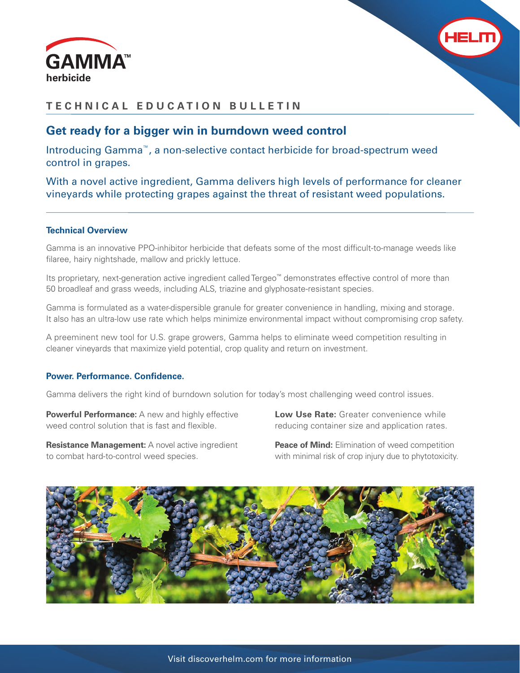



# **TECHNICAL EDUCATION BULLETIN**

# **Get ready for a bigger win in burndown weed control**

Introducing Gamma™, a non-selective contact herbicide for broad-spectrum weed control in grapes.

With a novel active ingredient, Gamma delivers high levels of performance for cleaner vineyards while protecting grapes against the threat of resistant weed populations.

### **Technical Overview**

Gamma is an innovative PPO-inhibitor herbicide that defeats some of the most difficult-to-manage weeds like filaree, hairy nightshade, mallow and prickly lettuce.

Its proprietary, next-generation active ingredient called Tergeo™ demonstrates effective control of more than 50 broadleaf and grass weeds, including ALS, triazine and glyphosate-resistant species.

Gamma is formulated as a water-dispersible granule for greater convenience in handling, mixing and storage. It also has an ultra-low use rate which helps minimize environmental impact without compromising crop safety.

A preeminent new tool for U.S. grape growers, Gamma helps to eliminate weed competition resulting in cleaner vineyards that maximize yield potential, crop quality and return on investment.

### **Power. Performance. Confidence.**

Gamma delivers the right kind of burndown solution for today's most challenging weed control issues.

**Powerful Performance:** A new and highly effective weed control solution that is fast and flexible.

**Resistance Management:** A novel active ingredient to combat hard-to-control weed species.

**Low Use Rate:** Greater convenience while reducing container size and application rates.

**Peace of Mind:** Elimination of weed competition with minimal risk of crop injury due to phytotoxicity.

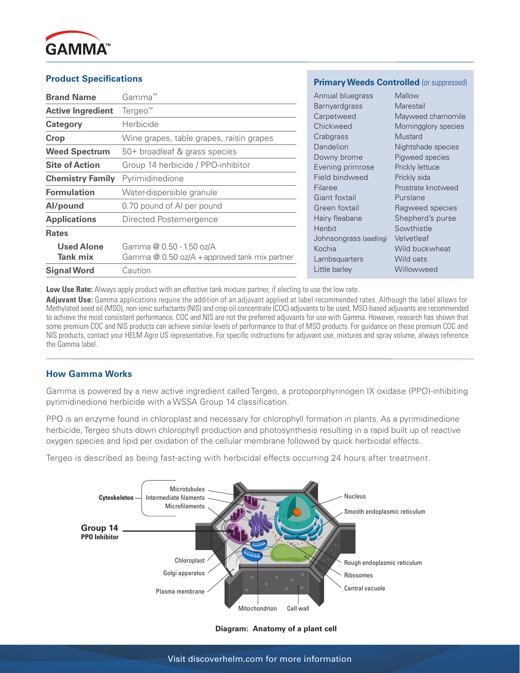

## **Product Specifications**

| <b>Brand Name</b>             | Gamma™                                                                      | Annual blue                                                                                                                                                               |
|-------------------------------|-----------------------------------------------------------------------------|---------------------------------------------------------------------------------------------------------------------------------------------------------------------------|
| <b>Active Ingredient</b>      | Tergeo <sup>™</sup>                                                         | Barnyardgra<br>Carpetweed<br>Chickweed<br>Crabgrass<br>Dandelion<br>Downy bron<br>Evening prin<br>Field bindw<br>Filaree<br>Giant foxtail<br>Green foxta<br>Hairy fleabar |
| Category                      | Herbicide                                                                   |                                                                                                                                                                           |
| Crop                          | Wine grapes, table grapes, raisin grapes                                    |                                                                                                                                                                           |
| <b>Weed Spectrum</b>          | 50+ broadleaf & grass species                                               |                                                                                                                                                                           |
| <b>Site of Action</b>         | Group 14 herbicide / PPO-inhibitor                                          |                                                                                                                                                                           |
| <b>Chemistry Family</b>       | Pyrimidinedione                                                             |                                                                                                                                                                           |
| <b>Formulation</b>            | Water-dispersible granule                                                   |                                                                                                                                                                           |
| Al/pound                      | 0.70 pound of AI per pound                                                  |                                                                                                                                                                           |
| <b>Applications</b>           | Directed Postemergence                                                      |                                                                                                                                                                           |
| <b>Rates</b>                  |                                                                             | Henbit<br>Johnsongras                                                                                                                                                     |
| <b>Used Alone</b><br>Tank mix | Gamma @ 0.50 - 1.50 oz/A<br>Gamma $@$ 0.50 oz/A + approved tank mix partner | Kochia<br>Lambsquarte                                                                                                                                                     |
| <b>Signal Word</b>            | Caution                                                                     | Little barley                                                                                                                                                             |

### **Primary Weeds Controlled (or suppressed)**

| Annual bluegrass           | Mallow               |
|----------------------------|----------------------|
| Barnyardgrass              | Marestail            |
| Carpetweed                 | Mayweed chamomile    |
| Chickweed                  | Morningglory species |
| Crabgrass                  | Mustard              |
| <b>Dandelion</b>           | Nightshade species   |
| Jowny brome                | Pigweed species      |
| Evening primrose           | Prickly lettuce      |
| ield bindweed <sup>:</sup> | Prickly sida         |
| ilaree                     | Prostrate knotweed   |
| Giant foxtail              | Purslane             |
| Green foxtail              | Ragweed species      |
| lairy fleabane             | Shepherd's purse     |
| Henbit                     | Sowthistle           |
| lohnsongrass (seedling)    | Velvetleaf           |
| cochia)                    | Wild buckwheat       |
| .ambsquarters              | Wild oats            |
| ittle barley               | Willowweed           |
|                            |                      |

Low Use Rate: Always apply product with an effective tank mixture partner, if electing to use the low rate.

**Adjuvant Use:** Gamma applications require the addition of an adjuvant applied at label recommended rates. Although the label allows for Methylated seed oil (MSO), non-ionic surfactants (NIS) and crop oil concentrate (COC) adjuvants to be used, MSO-based adjuvants are recommended to achieve the most consistent performance. COC and NIS are not the preferred adjuvants for use with Gamma. However, research has shown that some premium COC and NIS products can achieve similar levels of performance to that of MSO products. For guidance on these premium COC and NIS products, contact your HELM Agro US representative. For specific instructions for adjuvant use, mixtures and spray volume, always reference the Gamma label.

### **How Gamma Works**

Gamma is powered by a new active ingredient called Tergeo, a protoporphyrinogen IX oxidase (PPO)-inhibiting pyrimidinedione herbicide with a WSSA Group 14 classification.

PPO is an enzyme found in chloroplast and necessary for chlorophyll formation in plants. As a pyrimidinedione herbicide, Tergeo shuts down chlorophyll production and photosynthesis resulting in a rapid built up of reactive oxygen species and lipid per oxidation of the cellular membrane followed by quick herbicidal effects.

Tergeo is described as being fast-acting with herbicidal effects occurring 24 hours after treatment.



#### **Diagram: Anatomy of a plant cell**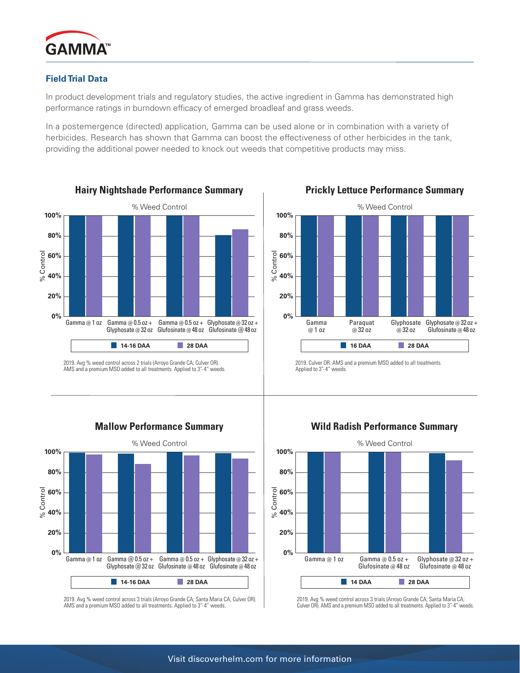

# **Field Trial Data**

In product development trials and regulatory studies, the active ingredient in Gamma has demonstrated high performance ratings in burndown efficacy of emerged broadleaf and grass weeds.

In a postemergence (directed) application, Gamma can be used alone or in combination with a variety of herbicides. Research has shown that Gamma can boost the effectiveness of other herbicides in the tank, providing the additional power needed to knock out weeds that competitive products may miss.







2019. Culver OR. AMS and a premium MSO added to all treatments. Applied to 3"-4" weeds.



**Mallow Performance Summary**

2019. Avg % weed control across 3 trials (Arroyo Grande CA; Santa Maria CA; Culver OR). AMS and a premium MSO added to all treatments. Applied to 3"-4" weeds.





2019. Avg % weed control across 3 trials (Arroyo Grande CA; Santa Maria CA; Culver OR). AMS and a premium MSO added to all treatments. Applied to 3"-4" weeds.